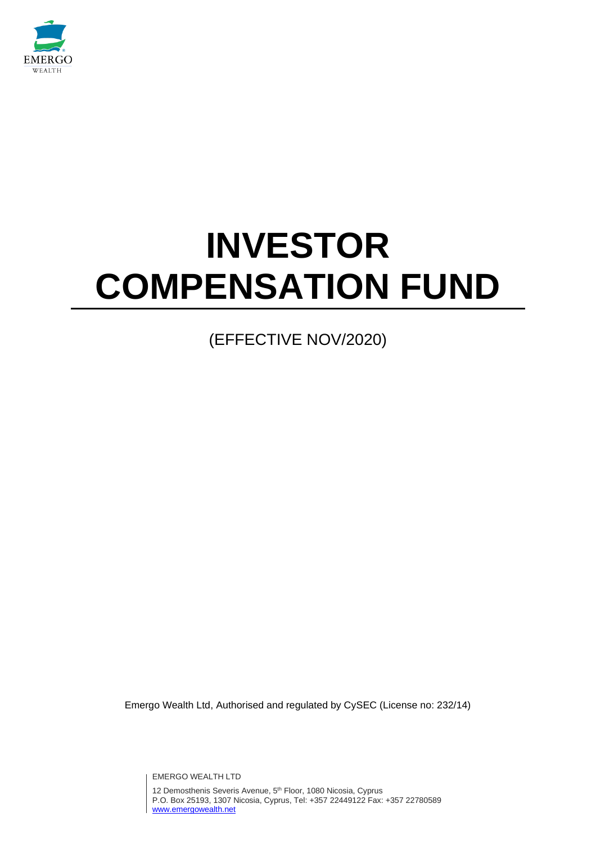

# **INVESTOR COMPENSATION FUND**

# (EFFECTIVE NOV/2020)

Emergo Wealth Ltd, Authorised and regulated by CySEC (License no: 232/14)

EMERGO WEALTH LTD

12 Demosthenis Severis Avenue, 5<sup>th</sup> Floor, 1080 Nicosia, Cyprus P.O. Box 25193, 1307 Nicosia, Cyprus, Tel: +357 22449122 Fax: +357 22780589 [www.emergowealth.net](http://www.emergowealth.net/)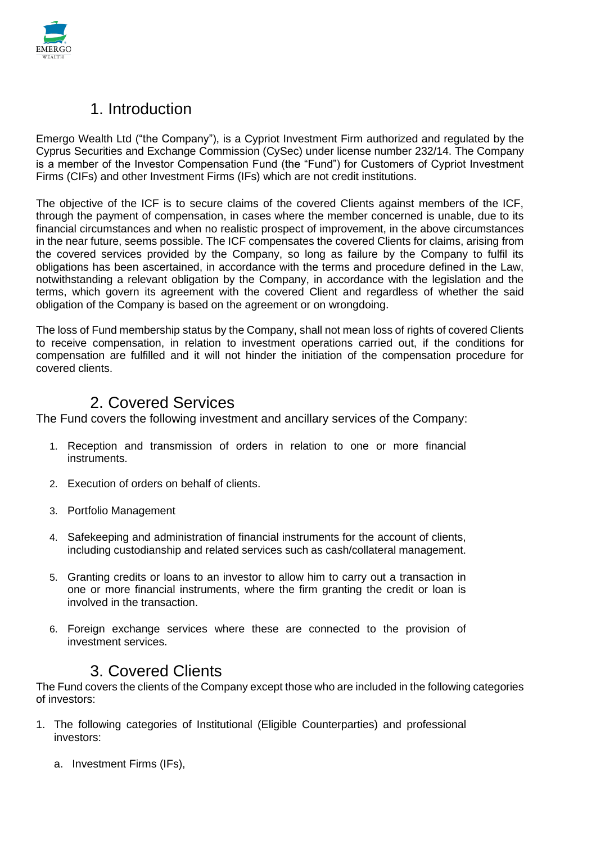

#### 1. Introduction

Emergo Wealth Ltd ("the Company"), is a Cypriot Investment Firm authorized and regulated by the Cyprus Securities and Exchange Commission (CySec) under license number 232/14. The Company is a member of the Investor Compensation Fund (the "Fund") for Customers of Cypriot Investment Firms (CIFs) and other Investment Firms (IFs) which are not credit institutions.

The objective of the ICF is to secure claims of the covered Clients against members of the ICF, through the payment of compensation, in cases where the member concerned is unable, due to its financial circumstances and when no realistic prospect of improvement, in the above circumstances in the near future, seems possible. The ICF compensates the covered Clients for claims, arising from the covered services provided by the Company, so long as failure by the Company to fulfil its obligations has been ascertained, in accordance with the terms and procedure defined in the Law, notwithstanding a relevant obligation by the Company, in accordance with the legislation and the terms, which govern its agreement with the covered Client and regardless of whether the said obligation of the Company is based on the agreement or on wrongdoing.

The loss of Fund membership status by the Company, shall not mean loss of rights of covered Clients to receive compensation, in relation to investment operations carried out, if the conditions for compensation are fulfilled and it will not hinder the initiation of the compensation procedure for covered clients.

#### 2. Covered Services

The Fund covers the following investment and ancillary services of the Company:

- 1. Reception and transmission of orders in relation to one or more financial instruments.
- 2. Execution of orders on behalf of clients.
- 3. Portfolio Management
- 4. Safekeeping and administration of financial instruments for the account of clients, including custodianship and related services such as cash/collateral management.
- 5. Granting credits or loans to an investor to allow him to carry out a transaction in one or more financial instruments, where the firm granting the credit or loan is involved in the transaction.
- 6. Foreign exchange services where these are connected to the provision of investment services.

#### 3. Covered Clients

The Fund covers the clients of the Company except those who are included in the following categories of investors:

- 1. The following categories of Institutional (Eligible Counterparties) and professional investors:
	- a. Investment Firms (IFs),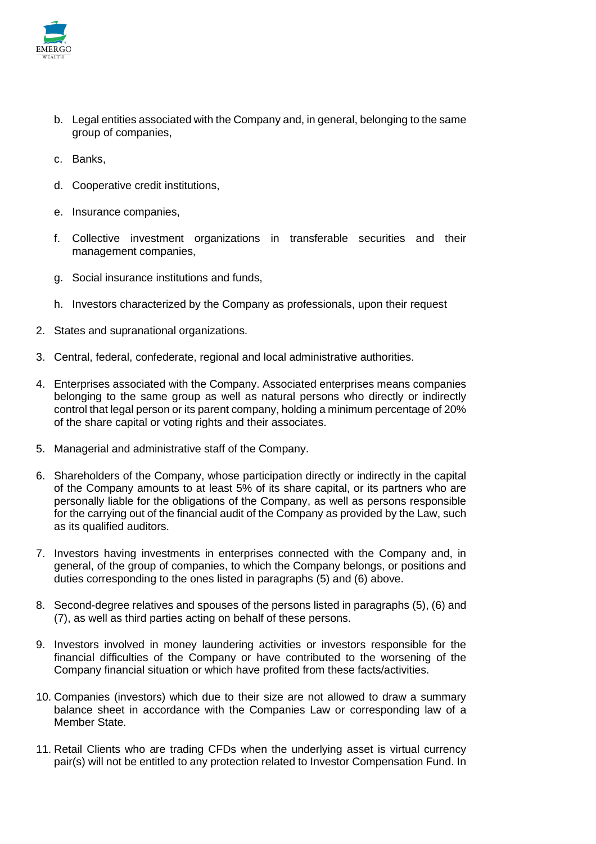

- b. Legal entities associated with the Company and, in general, belonging to the same group of companies,
- c. Banks,
- d. Cooperative credit institutions,
- e. Insurance companies,
- f. Collective investment organizations in transferable securities and their management companies,
- g. Social insurance institutions and funds,
- h. Investors characterized by the Company as professionals, upon their request
- 2. States and supranational organizations.
- 3. Central, federal, confederate, regional and local administrative authorities.
- 4. Enterprises associated with the Company. Associated enterprises means companies belonging to the same group as well as natural persons who directly or indirectly control that legal person or its parent company, holding a minimum percentage of 20% of the share capital or voting rights and their associates.
- 5. Managerial and administrative staff of the Company.
- 6. Shareholders of the Company, whose participation directly or indirectly in the capital of the Company amounts to at least 5% of its share capital, or its partners who are personally liable for the obligations of the Company, as well as persons responsible for the carrying out of the financial audit of the Company as provided by the Law, such as its qualified auditors.
- 7. Investors having investments in enterprises connected with the Company and, in general, of the group of companies, to which the Company belongs, or positions and duties corresponding to the ones listed in paragraphs (5) and (6) above.
- 8. Second-degree relatives and spouses of the persons listed in paragraphs (5), (6) and (7), as well as third parties acting on behalf of these persons.
- 9. Investors involved in money laundering activities or investors responsible for the financial difficulties of the Company or have contributed to the worsening of the Company financial situation or which have profited from these facts/activities.
- 10. Companies (investors) which due to their size are not allowed to draw a summary balance sheet in accordance with the Companies Law or corresponding law of a Member State.
- 11. Retail Clients who are trading CFDs when the underlying asset is virtual currency pair(s) will not be entitled to any protection related to Investor Compensation Fund. In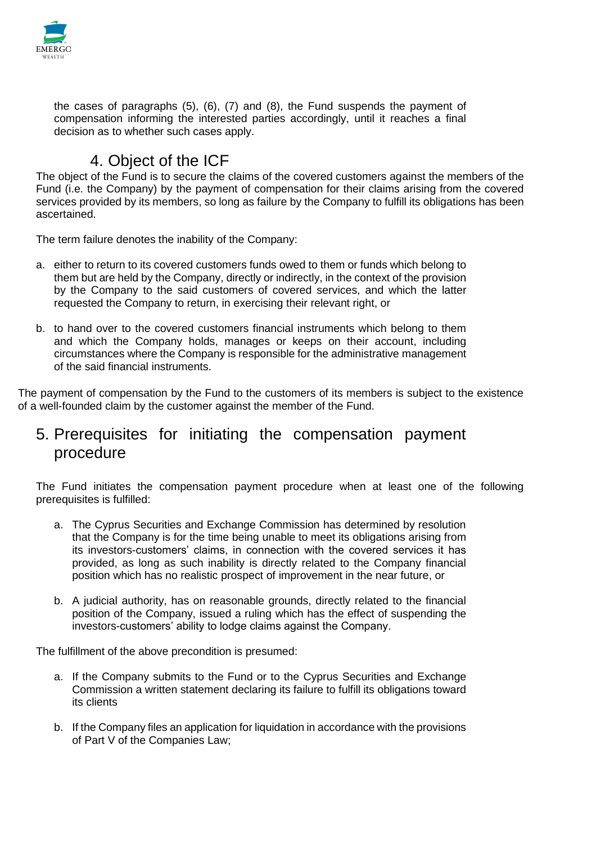

the cases of paragraphs (5), (6), (7) and (8), the Fund suspends the payment of compensation informing the interested parties accordingly, until it reaches a final decision as to whether such cases apply.

### 4. Object of the ICF

The object of the Fund is to secure the claims of the covered customers against the members of the Fund (i.e. the Company) by the payment of compensation for their claims arising from the covered services provided by its members, so long as failure by the Company to fulfill its obligations has been ascertained.

The term failure denotes the inability of the Company:

- a. either to return to its covered customers funds owed to them or funds which belong to them but are held by the Company, directly or indirectly, in the context of the provision by the Company to the said customers of covered services, and which the latter requested the Company to return, in exercising their relevant right, or
- b. to hand over to the covered customers financial instruments which belong to them and which the Company holds, manages or keeps on their account, including circumstances where the Company is responsible for the administrative management of the said financial instruments.

The payment of compensation by the Fund to the customers of its members is subject to the existence of a well-founded claim by the customer against the member of the Fund.

### 5. Prerequisites for initiating the compensation payment procedure

The Fund initiates the compensation payment procedure when at least one of the following prerequisites is fulfilled:

- a. The Cyprus Securities and Exchange Commission has determined by resolution that the Company is for the time being unable to meet its obligations arising from its investors-customers' claims, in connection with the covered services it has provided, as long as such inability is directly related to the Company financial position which has no realistic prospect of improvement in the near future, or
- b. A judicial authority, has on reasonable grounds, directly related to the financial position of the Company, issued a ruling which has the effect of suspending the investors-customers' ability to lodge claims against the Company.

The fulfillment of the above precondition is presumed:

- a. If the Company submits to the Fund or to the Cyprus Securities and Exchange Commission a written statement declaring its failure to fulfill its obligations toward its clients
- b. If the Company files an application for liquidation in accordance with the provisions of Part V of the Companies Law;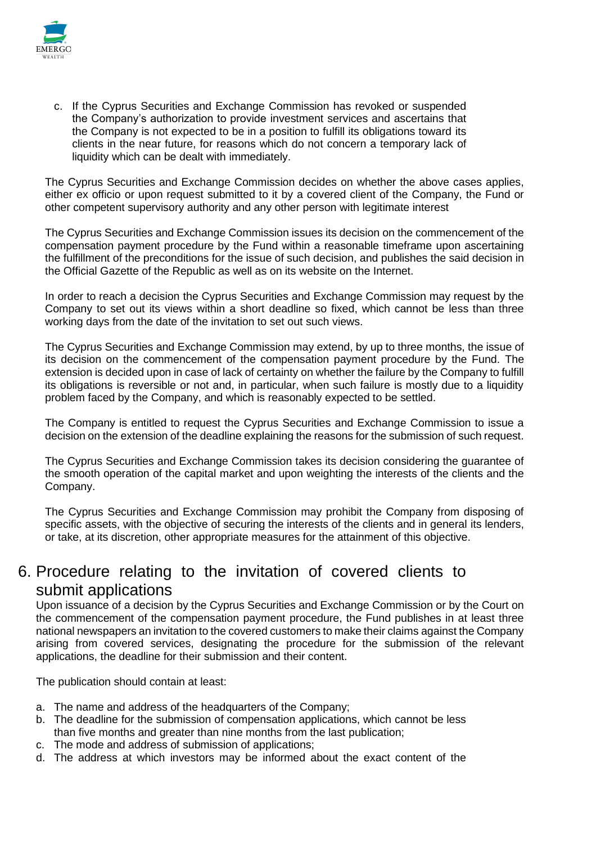

c. If the Cyprus Securities and Exchange Commission has revoked or suspended the Company's authorization to provide investment services and ascertains that the Company is not expected to be in a position to fulfill its obligations toward its clients in the near future, for reasons which do not concern a temporary lack of liquidity which can be dealt with immediately.

The Cyprus Securities and Exchange Commission decides on whether the above cases applies, either ex officio or upon request submitted to it by a covered client of the Company, the Fund or other competent supervisory authority and any other person with legitimate interest

The Cyprus Securities and Exchange Commission issues its decision on the commencement of the compensation payment procedure by the Fund within a reasonable timeframe upon ascertaining the fulfillment of the preconditions for the issue of such decision, and publishes the said decision in the Official Gazette of the Republic as well as on its website on the Internet.

In order to reach a decision the Cyprus Securities and Exchange Commission may request by the Company to set out its views within a short deadline so fixed, which cannot be less than three working days from the date of the invitation to set out such views.

The Cyprus Securities and Exchange Commission may extend, by up to three months, the issue of its decision on the commencement of the compensation payment procedure by the Fund. The extension is decided upon in case of lack of certainty on whether the failure by the Company to fulfill its obligations is reversible or not and, in particular, when such failure is mostly due to a liquidity problem faced by the Company, and which is reasonably expected to be settled.

The Company is entitled to request the Cyprus Securities and Exchange Commission to issue a decision on the extension of the deadline explaining the reasons for the submission of such request.

The Cyprus Securities and Exchange Commission takes its decision considering the guarantee of the smooth operation of the capital market and upon weighting the interests of the clients and the Company.

The Cyprus Securities and Exchange Commission may prohibit the Company from disposing of specific assets, with the objective of securing the interests of the clients and in general its lenders, or take, at its discretion, other appropriate measures for the attainment of this objective.

#### 6. Procedure relating to the invitation of covered clients to submit applications

Upon issuance of a decision by the Cyprus Securities and Exchange Commission or by the Court on the commencement of the compensation payment procedure, the Fund publishes in at least three national newspapers an invitation to the covered customers to make their claims against the Company arising from covered services, designating the procedure for the submission of the relevant applications, the deadline for their submission and their content.

The publication should contain at least:

- a. The name and address of the headquarters of the Company;
- b. The deadline for the submission of compensation applications, which cannot be less than five months and greater than nine months from the last publication;
- c. The mode and address of submission of applications;
- d. The address at which investors may be informed about the exact content of the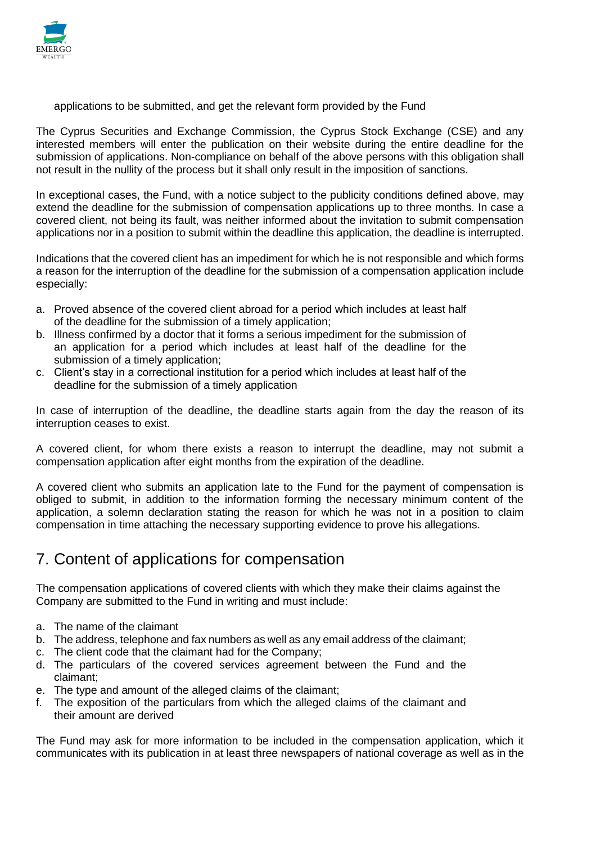

applications to be submitted, and get the relevant form provided by the Fund

The Cyprus Securities and Exchange Commission, the Cyprus Stock Exchange (CSE) and any interested members will enter the publication on their website during the entire deadline for the submission of applications. Non-compliance on behalf of the above persons with this obligation shall not result in the nullity of the process but it shall only result in the imposition of sanctions.

In exceptional cases, the Fund, with a notice subject to the publicity conditions defined above, may extend the deadline for the submission of compensation applications up to three months. In case a covered client, not being its fault, was neither informed about the invitation to submit compensation applications nor in a position to submit within the deadline this application, the deadline is interrupted.

Indications that the covered client has an impediment for which he is not responsible and which forms a reason for the interruption of the deadline for the submission of a compensation application include especially:

- a. Proved absence of the covered client abroad for a period which includes at least half of the deadline for the submission of a timely application;
- b. Illness confirmed by a doctor that it forms a serious impediment for the submission of an application for a period which includes at least half of the deadline for the submission of a timely application;
- c. Client's stay in a correctional institution for a period which includes at least half of the deadline for the submission of a timely application

In case of interruption of the deadline, the deadline starts again from the day the reason of its interruption ceases to exist.

A covered client, for whom there exists a reason to interrupt the deadline, may not submit a compensation application after eight months from the expiration of the deadline.

A covered client who submits an application late to the Fund for the payment of compensation is obliged to submit, in addition to the information forming the necessary minimum content of the application, a solemn declaration stating the reason for which he was not in a position to claim compensation in time attaching the necessary supporting evidence to prove his allegations.

# 7. Content of applications for compensation

The compensation applications of covered clients with which they make their claims against the Company are submitted to the Fund in writing and must include:

- a. The name of the claimant
- b. The address, telephone and fax numbers as well as any email address of the claimant;
- c. The client code that the claimant had for the Company;
- d. The particulars of the covered services agreement between the Fund and the claimant;
- e. The type and amount of the alleged claims of the claimant;
- f. The exposition of the particulars from which the alleged claims of the claimant and their amount are derived

The Fund may ask for more information to be included in the compensation application, which it communicates with its publication in at least three newspapers of national coverage as well as in the